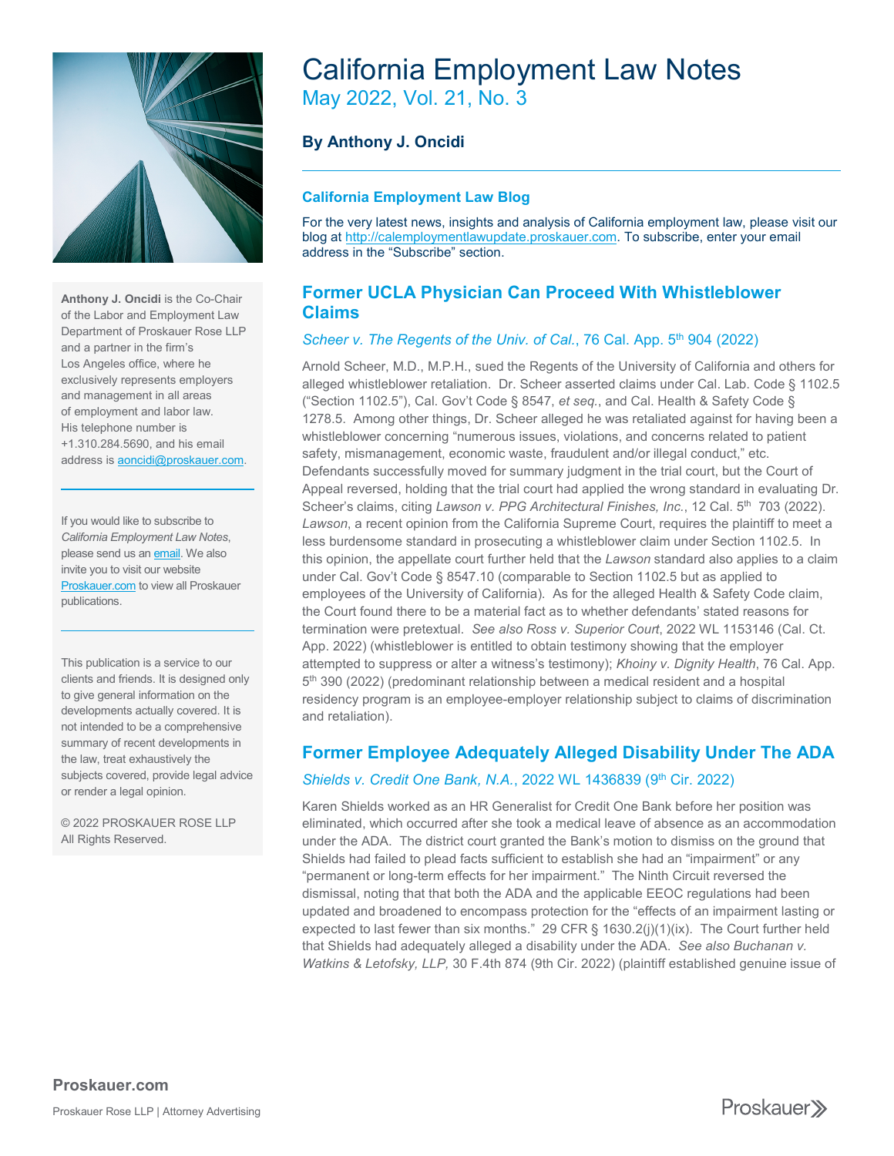

**Anthony J. Oncidi** is the Co-Chair of the Labor and Employment Law Department of Proskauer Rose LLP and a partner in the firm's Los Angeles office, where he exclusively represents employers and management in all areas of employment and labor law. His telephone number is +1.310.284.5690, and his email address i[s aoncidi@proskauer.com.](mailto:aoncidi@proskauer.com)

If you would like to subscribe to *California Employment Law Notes*, please send us an **email**. We also invite you to visit our website **[Proskauer.com](https://www.proskauer.com/)** to view all Proskauer publications.

This publication is a service to our clients and friends. It is designed only to give general information on the developments actually covered. It is not intended to be a comprehensive summary of recent developments in the law, treat exhaustively the subjects covered, provide legal advice or render a legal opinion.

© 2022 PROSKAUER ROSE LLP All Rights Reserved.

# California Employment Law Notes May 2022, Vol. 21, No. 3

**By Anthony J. Oncidi**

### **California Employment Law Blog**

For the very latest news, insights and analysis of California employment law, please visit our blog at [http://calemploymentlawupdate.proskauer.com.](http://calemploymentlawupdate.proskauer.com/) To subscribe, enter your email address in the "Subscribe" section.

## **Former UCLA Physician Can Proceed With Whistleblower Claims**

#### *Scheer v. The Regents of the Univ. of Cal.*, 76 Cal. App. 5<sup>th</sup> 904 (2022)

Arnold Scheer, M.D., M.P.H., sued the Regents of the University of California and others for alleged whistleblower retaliation. Dr. Scheer asserted claims under Cal. Lab. Code § 1102.5 ("Section 1102.5"), Cal. Gov't Code § 8547, *et seq.*, and Cal. Health & Safety Code § 1278.5. Among other things, Dr. Scheer alleged he was retaliated against for having been a whistleblower concerning "numerous issues, violations, and concerns related to patient safety, mismanagement, economic waste, fraudulent and/or illegal conduct," etc. Defendants successfully moved for summary judgment in the trial court, but the Court of Appeal reversed, holding that the trial court had applied the wrong standard in evaluating Dr. Scheer's claims, citing *Lawson v. PPG Architectural Finishes, Inc.*, 12 Cal. 5<sup>th</sup> 703 (2022). *Lawson*, a recent opinion from the California Supreme Court, requires the plaintiff to meet a less burdensome standard in prosecuting a whistleblower claim under Section 1102.5. In this opinion, the appellate court further held that the *Lawson* standard also applies to a claim under Cal. Gov't Code § 8547.10 (comparable to Section 1102.5 but as applied to employees of the University of California). As for the alleged Health & Safety Code claim, the Court found there to be a material fact as to whether defendants' stated reasons for termination were pretextual. *See also Ross v. Superior Court*, 2022 WL 1153146 (Cal. Ct. App. 2022) (whistleblower is entitled to obtain testimony showing that the employer attempted to suppress or alter a witness's testimony); *Khoiny v. Dignity Health*, 76 Cal. App. 5<sup>th</sup> 390 (2022) (predominant relationship between a medical resident and a hospital residency program is an employee-employer relationship subject to claims of discrimination and retaliation).

## **Former Employee Adequately Alleged Disability Under The ADA**

### Shields v. Credit One Bank, N.A., 2022 WL 1436839 (9th Cir. 2022)

Karen Shields worked as an HR Generalist for Credit One Bank before her position was eliminated, which occurred after she took a medical leave of absence as an accommodation under the ADA. The district court granted the Bank's motion to dismiss on the ground that Shields had failed to plead facts sufficient to establish she had an "impairment" or any "permanent or long-term effects for her impairment." The Ninth Circuit reversed the dismissal, noting that that both the ADA and the applicable EEOC regulations had been updated and broadened to encompass protection for the "effects of an impairment lasting or expected to last fewer than six months." 29 CFR §  $1630.2(j)(1)(ix)$ . The Court further held that Shields had adequately alleged a disability under the ADA. *See also Buchanan v. Watkins & Letofsky, LLP,* 30 F.4th 874 (9th Cir. 2022) (plaintiff established genuine issue of

Proskauer<sup>y</sup>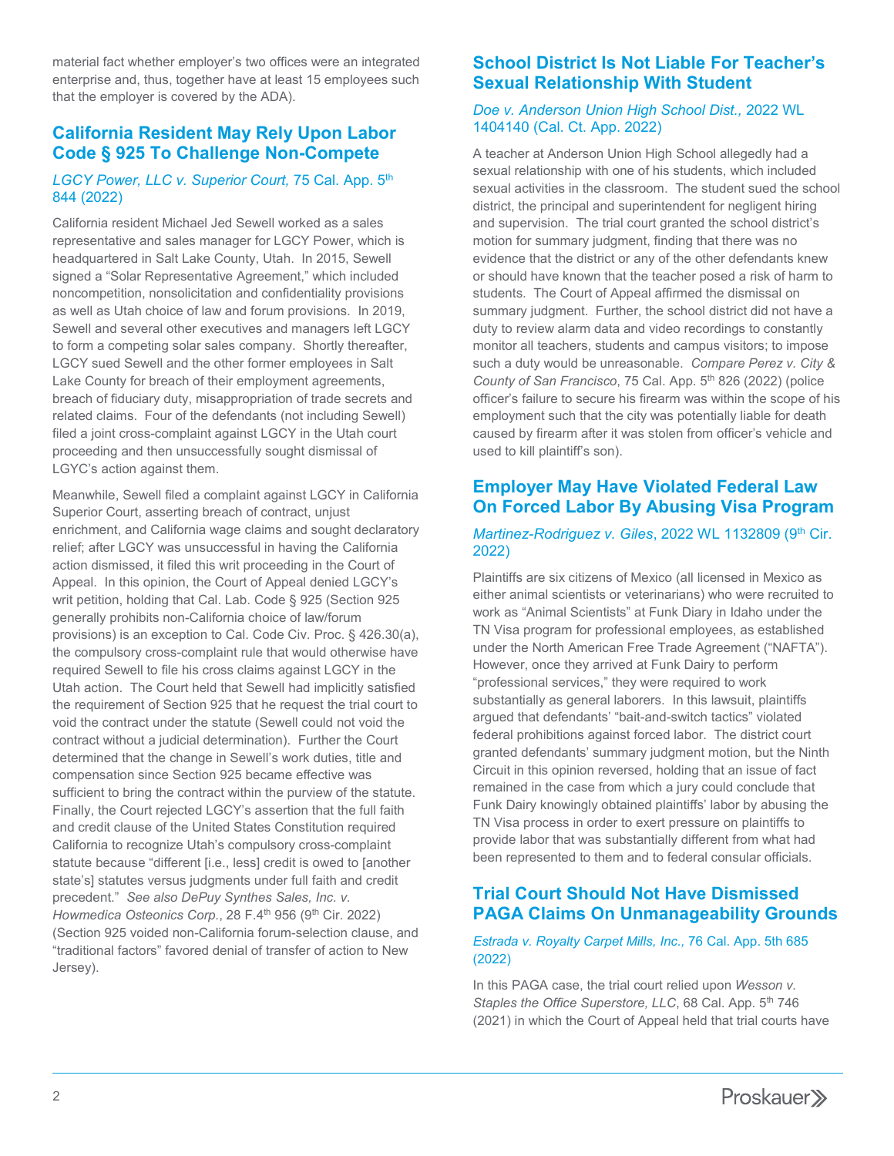material fact whether employer's two offices were an integrated enterprise and, thus, together have at least 15 employees such that the employer is covered by the ADA).

## **California Resident May Rely Upon Labor Code § 925 To Challenge Non-Compete**

#### *LGCY Power, LLC v. Superior Court,* 75 Cal. App. 5th 844 (2022)

California resident Michael Jed Sewell worked as a sales representative and sales manager for LGCY Power, which is headquartered in Salt Lake County, Utah. In 2015, Sewell signed a "Solar Representative Agreement," which included noncompetition, nonsolicitation and confidentiality provisions as well as Utah choice of law and forum provisions. In 2019, Sewell and several other executives and managers left LGCY to form a competing solar sales company. Shortly thereafter, LGCY sued Sewell and the other former employees in Salt Lake County for breach of their employment agreements, breach of fiduciary duty, misappropriation of trade secrets and related claims. Four of the defendants (not including Sewell) filed a joint cross-complaint against LGCY in the Utah court proceeding and then unsuccessfully sought dismissal of LGYC's action against them.

Meanwhile, Sewell filed a complaint against LGCY in California Superior Court, asserting breach of contract, unjust enrichment, and California wage claims and sought declaratory relief; after LGCY was unsuccessful in having the California action dismissed, it filed this writ proceeding in the Court of Appeal. In this opinion, the Court of Appeal denied LGCY's writ petition, holding that Cal. Lab. Code § 925 (Section 925 generally prohibits non-California choice of law/forum provisions) is an exception to Cal. Code Civ. Proc. § 426.30(a), the compulsory cross-complaint rule that would otherwise have required Sewell to file his cross claims against LGCY in the Utah action. The Court held that Sewell had implicitly satisfied the requirement of Section 925 that he request the trial court to void the contract under the statute (Sewell could not void the contract without a judicial determination). Further the Court determined that the change in Sewell's work duties, title and compensation since Section 925 became effective was sufficient to bring the contract within the purview of the statute. Finally, the Court rejected LGCY's assertion that the full faith and credit clause of the United States Constitution required California to recognize Utah's compulsory cross-complaint statute because "different [i.e., less] credit is owed to [another state's] statutes versus judgments under full faith and credit precedent." *See also DePuy Synthes Sales, Inc. v. Howmedica Osteonics Corp.*, 28 F.4<sup>th</sup> 956 (9<sup>th</sup> Cir. 2022) (Section 925 voided non-California forum-selection clause, and "traditional factors" favored denial of transfer of action to New Jersey).

## **School District Is Not Liable For Teacher's Sexual Relationship With Student**

#### *Doe v. Anderson Union High School Dist.,* 2022 WL 1404140 (Cal. Ct. App. 2022)

A teacher at Anderson Union High School allegedly had a sexual relationship with one of his students, which included sexual activities in the classroom. The student sued the school district, the principal and superintendent for negligent hiring and supervision. The trial court granted the school district's motion for summary judgment, finding that there was no evidence that the district or any of the other defendants knew or should have known that the teacher posed a risk of harm to students. The Court of Appeal affirmed the dismissal on summary judgment. Further, the school district did not have a duty to review alarm data and video recordings to constantly monitor all teachers, students and campus visitors; to impose such a duty would be unreasonable. *Compare Perez v. City & County of San Francisco, 75 Cal. App. 5<sup>th</sup> 826 (2022) (police* officer's failure to secure his firearm was within the scope of his employment such that the city was potentially liable for death caused by firearm after it was stolen from officer's vehicle and used to kill plaintiff's son).

## **Employer May Have Violated Federal Law On Forced Labor By Abusing Visa Program**

#### *Martinez-Rodriguez v. Giles, 2022 WL 1132809 (9<sup>th</sup> Cir.* 2022)

Plaintiffs are six citizens of Mexico (all licensed in Mexico as either animal scientists or veterinarians) who were recruited to work as "Animal Scientists" at Funk Diary in Idaho under the TN Visa program for professional employees, as established under the North American Free Trade Agreement ("NAFTA"). However, once they arrived at Funk Dairy to perform "professional services," they were required to work substantially as general laborers. In this lawsuit, plaintiffs argued that defendants' "bait-and-switch tactics" violated federal prohibitions against forced labor. The district court granted defendants' summary judgment motion, but the Ninth Circuit in this opinion reversed, holding that an issue of fact remained in the case from which a jury could conclude that Funk Dairy knowingly obtained plaintiffs' labor by abusing the TN Visa process in order to exert pressure on plaintiffs to provide labor that was substantially different from what had been represented to them and to federal consular officials.

## **Trial Court Should Not Have Dismissed PAGA Claims On Unmanageability Grounds**

#### *Estrada v. Royalty Carpet Mills, Inc.,* 76 Cal. App. 5th 685 (2022)

In this PAGA case, the trial court relied upon *Wesson v.*  Staples the Office Superstore, LLC, 68 Cal. App. 5<sup>th</sup> 746 (2021) in which the Court of Appeal held that trial courts have